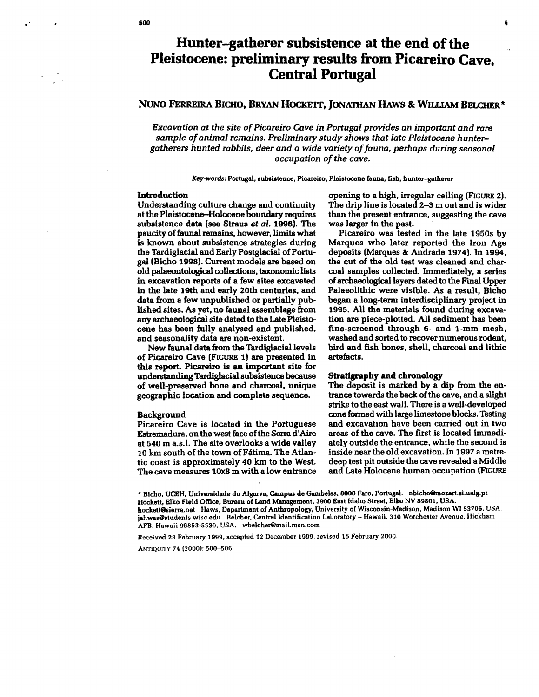# Hunter-gatherer subsistence at the end of the Pleistocene: preliminary results from Picareiro Cave, Central Portugal

## NUNO FERREIRA BICHO, BRYAN HOCKETT, JONATHAN HAWS & WILLIAM BELCHER\*

*Excavation* at *the site ofPicareiro Cave in Portugal provides* an *important and rare*  sample of animal remains. Preliminary study shows that late Pleistocene hunter*gatherers hunted rabbits, deer and* a *wide variety offauna, perhaps during seasonal occupation of the cave.* 

Key-words: Portugal. subsistence. Picareiro. Pleistocene fauns. fish. hunter-gatherer

## Introduction

Understanding culture change and continuity at the Pleistocene-Holocene boundary requires subsistence data (see Straus *et* aI. 1996). The paucity of faunal remains, however, limits what is known about subsistence strategies during the Tardiglacial and Early Postglacial of Portugal (Bicho 1998). Current models are based on old palaeontological collections. taxonomic lists in excavation reports of a few sites excavated in the late 19th and early 20th centuries. and data from a few unpublished or partially published sites. As yet. no faunal assemblage from any archaeological site dated to the Late Pleistocene has been fully analysed and published, and seasonality data are non-existent.

New faunal data from the Tardiglacial levels of Picareiro Cave (FIGURE 1) are presented in this report. Picareiro is an important site for understandingTardiglacial subsistence because of well-preserved bone and charcoal. unique geographic location and complete sequence.

## Background

Picareiro Cave is located in the Portuguese Estremadura, on the west face of the Serra d'Aire at 540 m a.s.l. The site overlooks a wide valley 10 km south of the town of Fátima. The Atlantic coast is approximately 40 km to the West. The cave measures 10x8 m with a low entrance opening to a high, irregular ceiling (FIGURE 2). The drip line is located 2-3 m out and is wider than the present entrance, suggesting the cave was larger in the past.

Picareiro was tested in the late 1950s by Marques who later reported the Iron Age deposits (Marques & Andrade 1974). In 1994, the cut of the old test was cleaned and charcoal samples collected. Immediately, a series ofarchaeological layers dated to the Final Upper Palaeolithic were visible. As a result. Bicho began a long-term interdisciplinary project in 1995. All the materials found during excavation are piece-plotted. All sediment has been fine-screened through 6- and 1-mm mesh, washed and sorted to recover numerous rodent, bird and fish bones, shell, charcoal and lithic artefacts.

## Stratigraphy and chronology

The deposit is marked by a dip from the entrance towards the back ofthe cave, and a slight strike to the east wall. There is a well-developed cone formed with large limestone blocks. Testing and excavation have been carried out in two areas of the cave. The first is located immediately outside the entrance. while the second is inside near the old excavation. In 1997 a metredeep test pit outside the cave revealed a Middle and Late Holocene human occupation (FIGURE

\* Bicho. UCEH. Universidade do Algarve. Campus de Gambelas. 8000 Faro. Portugal. nbicho@mozart.si.ualg.pt Hockett. Elko Field Office. Bureau of Land Management. 3900 East Idaho Street. Elko NV 89801. USA. hockett@Siena.net Haws. Department of Anthropology. University of Wisconsin-Madison. Madison WI 53706. USA. jahwas@students.wisc.edu Belcher. Central Identification Laboratory - Hawaii. 310 Worchester Avenue. Hickham AFB. Hawaii 96853-5530, USA. wbelcher@mail.msn.com

Received 23 February 1999, accepted 12 December 1999, revised 16 February 2000.

ANTIQUITY 74 (2000): 500-506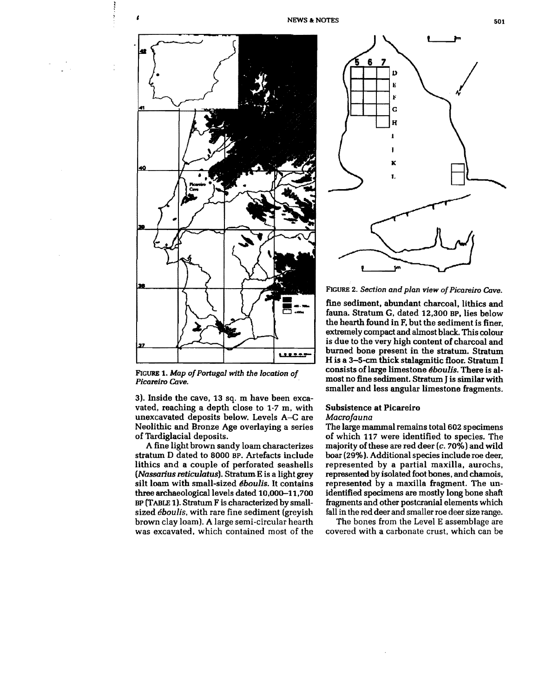



FIGURE 1. Map of Portugal with the location of *Picareiro Cave.* 

3). Inside the cave. 13 sq. m have been excavated. reaching a depth close to 1·7 m, with unexcavated deposits below. Levels A-C are Neolithic and Bronze Age overlaying a series of Tardiglacial deposits.

A fine light brown sandy loam characterizes stratum D dated to 8000 BP. Artefacts include lithics and a couple of perforated seashells *(Nassarius reticulatus).* Stratum,E is a light grey silt loam with small-sized *eboulis.* It contains three archaeological levels dated 10.000-11.700 BP (TABLE 1). Stratum F is characterized by smallsized *eboulis,* with rare fine sediment (greyish brown clay loam). A large semi-circular hearth was excavated, which contained most of the

NEWS & NOTES 501



FIGURE 2. Section and plan view of Picareiro Cave.

fine sediment, abundant charcoal, lithics and fauna. Stratum G. dated 12,300 BP, lies below the hearth found in F. but the sediment is finer, extremely compact and almost black. This colour is due to the very high content of charcoal and burned bone present in the stratum. Stratum H is a 3-5-cm thick stalagmitic floor. Stratum I consists of large limestone *éboulis*. There is almost no fine sediment. Stratum J is similar with smaller and less angular limestone fragments.

## Subsistence at Picareiro *Macrofauna*

The large mammal remains total 602 specimens of which 117 were identified to species. The majority of these are red deer  $(c. 70\%)$  and wild boar (29%). Additional species include roe deer, represented by a partial maxilla. aurochs, represented by isolated foot bones, and chamois. represented by a maxilla fragment. The unidentified specimens are mostly long bone shaft fragments and other postcranial elements which fall in the red deer and smaller roe deer size range.

The bones from the Level E assemblage are covered with a carbonate crust, which can be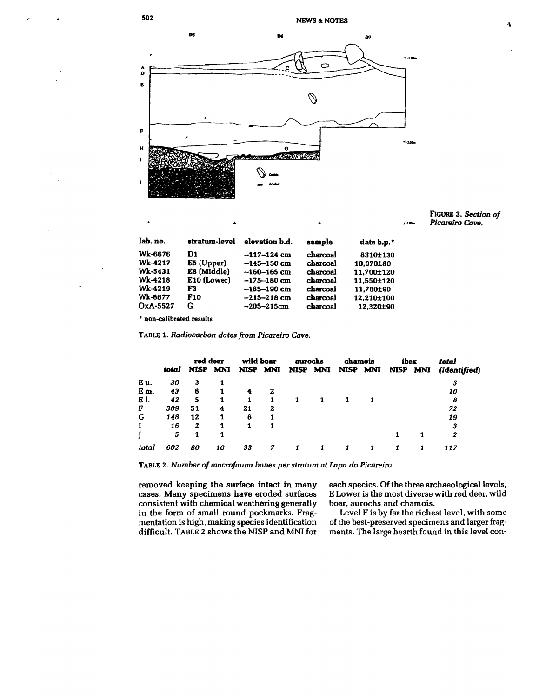

FIGuRE 3. *Section of*  ...-- *Picareiro* Cave.

| lab. no.       | stratum-level | elevation b.d.  | sample   | date b.p.* |
|----------------|---------------|-----------------|----------|------------|
| <b>Wk-6676</b> | D1            | $-117-124$ cm   | charcoal | 8310±130   |
| Wk-4217        | E5 (Upper)    | $-145 - 150$ cm | charcoal | 10.070±80  |
| Wk-5431        | E8 (Middle)   | $-160 - 165$ cm | charcoal | 11,700±120 |
| Wk-4218        | E10 (Lower)   | $-175 - 180$ cm | charcoal | 11,550±120 |
| Wk-4219        | F3            | $-185 - 190$ cm | charcoal | 11,780±90  |
| Wk-6677        | F10           | $-215 - 218$ cm | charcoal | 12.210±100 |
| OxA-5527       | G             | $-205 - 215$ cm | charcoal | 12.320±90  |

\* non-calibrated results

TABLE 1. *Radiocarbon dates from Picareiro Cave.* 

|       |       |             | red deer   | wild boar   |     | aurochs |          | chamois  |   | ibex        |     | total        |
|-------|-------|-------------|------------|-------------|-----|---------|----------|----------|---|-------------|-----|--------------|
|       | total | <b>NISP</b> | <b>MNI</b> | <b>NISP</b> | MNI |         | NISP MNI | NISP MNI |   | <b>NISP</b> | MNI | (identified) |
| Eu.   | 30    | 3           |            |             |     |         |          |          |   |             |     | 3            |
| Em.   | 43    | 6           |            |             | 2   |         |          |          |   |             |     | 10           |
| E 1.  | 42    | 5           |            | 1           |     |         |          |          | 1 |             |     | 8            |
| F     | 309   | 51          | 4          | 21          | 2   |         |          |          |   |             |     | 72           |
| G     | 148   | 12          |            | 6           |     |         |          |          |   |             |     | 19           |
|       | 16    | 2           |            |             |     |         |          |          |   |             |     | 3            |
|       | 5     | 1           |            |             |     |         |          |          |   |             | 1   | 2            |
| total | 602   | 80          | 10         | 33          |     |         |          |          |   |             |     | 117          |

TABLE 2. *Number ofmacrofauna bones per stratum at Lapa* do *Picareiro.* 

removed keeping the surface intact in many each species. Of the three archaeological levels,<br>cases. Many specimens have eroded surfaces E Lower is the most diverse with red deer, wild cases. Many specimens have eroded surfaces ELower is the most diverse versions consistent with chemical weathering generally boar, aurochs and chamois. consistent with chemical weathering generally in the form of small round pockmarks. Fragmentation is high, making species identification<br>difficult. TABLE 2 shows the NISP and MNI for

Level F is by far the richest level, with some of the best-preserved specimens and larger fragments. The large hearth found in this level con-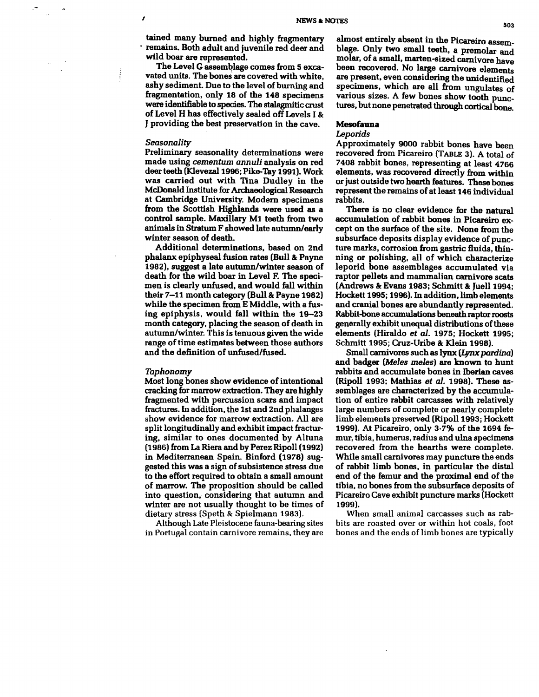tained many bumed and highly fragmentary • remains. Both adult and juvenile red deer and wild boar are represented.

The Level G assemblage comes from 5 excavated units. The bones are covered with white, ashy sediment. Due to the level of burning and fragmentation, only 18 of the 148 specimens were identifiable to species. The stalagmitic crust of Level H has effectively sealed off Levels I &: J providing the best preservation in the cave.

### Seasonality

,

Preliminary seasonality determinations were made using cementum annuli analysis on red deer teeth (Klevezal 1996; Pike-Tay 1991). Work was carried out with Tina Dudley in the McDonald Institute for Archaeological Research at Cambridge University. Modem specimens from the Scottish Highlands were used as a control sample. Maxillary M1 teeth from two Animals in StratumF showed late autumn/early winter season of death.

Additional determinations, based on 2nd phalanx epiphyseal fusion rates (Bull&: Payne 1982), suggest a late autumn/winter season of death for the wild boar in Level F. The specimen is clearly unfused, and would fall within their 7-11 month category (Bull & Payne 1982) while the specimen from E Middle, with a fusing epiphysis, would fall within the 19-23 month category, placing the season of death in autumn/winter. This is tenuous given the wide range of time estimates between those authors and the definition of unfused/fused.

#### Taphonomy

Most long bones show evidence of intentional cracking for marrow extraction. They are highly fragmented with percussion scars and impact fractures. In addition, the 1st and 2nd phalanges show evidence for marrow extraction. All are split longitudinally and exhibit impact fracturing, similar to ones documented by Altuna (1986) from La Riera and by Perez Ripoll (1992) in Mediterranean Spain. Binford (1978) suggested this was a sign of subsistence stress due to the effort required to obtain a small amount of marrow. The proposition should be called into question. considering that autumn and winter are not usually thought to be times of dietary stress (Speth & Spielmann 1983).

Although Late Pleistocene fauna-bearing sites in Portugal contain carnivore remains. they are almost entirely absent in the Picareiro assemblage. Only two small teeth. a premolar and molar. of a small. marten-sized carnivore have been recovered. No large carnivore elements are present. even considering the unidentified specimens. which are all from ungulates of various sizes. A few bones show tooth punctures, but none penetrated through cortical bone.

#### Mesofauna

#### Leporids

Approximately 9000 rabbit bones have been recovered from Picareiro (TABLE 3). A total of 7408 rabbit bones, representing at least 4766 elements. was recovered directly from within or just outside two hearth features. These bones represent the remains of at least 146 individual rabbits.

There is no clear evidence for the natural accumulation of rabbit bones in Picareiro except on the surface of the site. None from the subsurface deposits display evidence of puncture marks. corrosion from gastric fluids. thinning or polishing. all of which characterize leporid bone assemblages accumulated via raptor pellets and mammalian carnivore scats (Andrews & Evans 1983; Schmitt & Juell 1994; Hockett 1995; 1996). In addition. limb elements and cranial bones are abundantly represented. Rabbit-bone accumulations beneath raptor roosts generally exhibit unequal distributions of these elements (Hiraldo et aJ. 1975; Hockett 1995; Schmitt 1995; Cruz-Uribe & Klein 1998).

Small carnivores such as lynx (Lynx pardina) and badger (Meles meles) are known to hunt rabbits and accumulate bones in Iberian caves (Ripoll 1993; Mathias et aI. 1998). These assemblages are characterized by the accumulation of entire rabbit carcasses with relatively large numbers of complete or nearly complete limb elements preserved (Ripoll 1993; Hockett 1999). At Picareiro. only 3·7% of the 1694 femur. tibia. humerus. radius and ulna specimens recovered from the hearths were complete. While small carnivores may puncture the ends of rabbit limb bones. in particular the distal end of the femur and the proximal end of the tibia, no bones from the subsurface deposits of Picareiro Cave exhibit puncture marks (Hockett 1999).

When small animal carcasses such as rabbits are roasted over or within hot coals. foot bones and the ends of limb bones are typically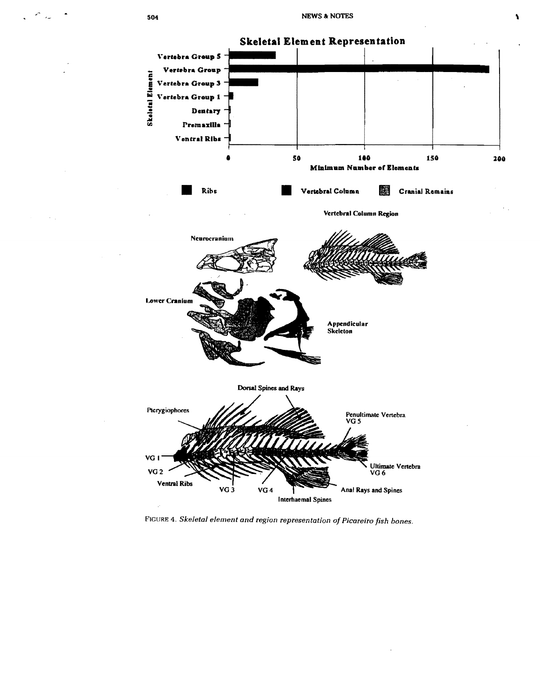

FIGURE 4. Skeletal element and region representation of Picareiro fish bones.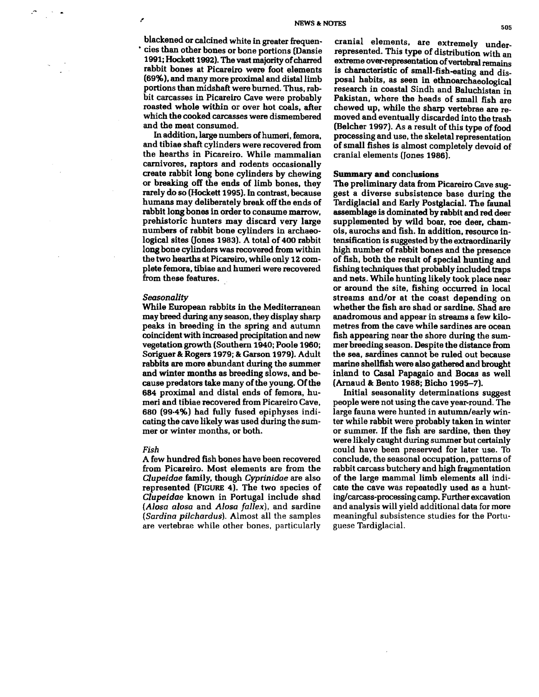blackened or calcined white in greater frequen • cies than other bones or bone portions (Dansie 1991; Hockett 1992). The vast majority of charred rabbit bones at Picareiro were foot elements (69%), and many more proximal and distal limb portions than midshaft were burned. Thus, rabbit carcasses in Picareiro Cave were probably roasted whole within or over hot coals, after which the cooked carcasses were dismembered and the meat consumed.

Inaddition. large numbers of humeri, femora. and tibiae shaft cylinders were recovered from the hearths in Picareiro. While mammalian carnivores. raptors and rodents occasionally create rabbit long bone cylinders by chewing or breaking off the ends of limb bones. they rarely do so (Hockett 1995). In contrast, because humans may deliberately break off the ends of rabbit long bonea in order to consume marrow, prehistoric hunters may discard very large numbers of rabbit bone cylinders in archaeological sites (Jones 1983). A total of 400 rabbit long bone cylinders was recovered from within the two hearths at Picareiro. while only 12 complete femora. tibiae and humeri were recovered from these features.

#### *Seasonality*

While European rabbits in the Mediterranean may breed during any season, they display sharp peaks in breeding in the spring and autumn coincident with increased precipitation and new vegetation growth (Southern 1940; Poole 1960; Soriguer & Rogers 1979; & Garson 1979). Adult rabbits are more abundant during the summer and winter months as breeding slows, and because predators take many of the young. Of the 684 proximal and distal ends of femora. humeri and tibiae recovered from Picareiro Cave, 680 (99·4%) had fully fused epiphyses indicating the cave likely was used during the summer or winter months, or both.

#### *Fish*

A few hundred fish bones have been recovered from Picareiro. Most elements are from the *Clupeidae* family. though *Cyprinidae* are also represented (FIGURE 4). The two species of *Clupeidae* known in Portugal include shad *(Alosa alosa* and *Alosa fallex),* and sardine *(Sardina pilchard us).* Almost all the samples are vertebrae while other bones. particularly

cranial elements. are extremely underrepresented. This type of distribution with an extreme over-representation of vertebral remains is characteristic of small-fish-eating and disposal habits. as seen in ethnoarchaeological research in coastal Sindh and Baluchistan in Pakistan, where the heads of small fish are chewed up. while the sharp vertebrae are removed and eventually discarded into the trash (Belcher 1997). As a result of this type of food processing and use. the skeletal representation ofsmall fishes is almost completely devoid of cranial elements (Jones 1986).

### Summary and conclusions

The preliminary data from Picareiro Cave suggest a diverse subsistence base during the Tardiglacial and Early Postglacial. The faunal assemblage is dominated by rabbit and red deer supplemented by wild boar, roe deer, chamois. aurochs and fish. In addition. resource intensification is suggested by the extraordinarily high number of rabbit bones and the presence of fish. both the result of special hunting and fishing techniques that probably included traps and nets. While hunting likely took place near or around the site. fishing occurred in local streams and/or at the coast depending on whether the fish are shad or sardine. Shad are anadromous and appear in streams a few kilometres from the cave while sardines are ocean fish appearing near the shore during the summer breeding season. Despite the distance from the sea. sardines cannot be ruled out because marine shellfish were also gathered and brought inland to Casal Papagaio and Bocas as well (Arnaud & Bento 1988; Bicho 1995-7).

Initial seasonality determinations suggest people were not using the cave year-round. The large fauna were hunted in autumn/early winter while rabbit were probably taken in winter or summer. If the fish are sardine, then they were likely caught during summer but certainly could have been preserved for later use. To conclude, the seasonal occupation. patterns of rabbit carcass butchery and high fragmentation of the large mammal limb elements all indicate the cave was repeatedly used as a hunting/carcass-processing camp. Further excavation and analysis will yield additional data for more meaningful subsistence studies for the Portuguese Tardiglacial.